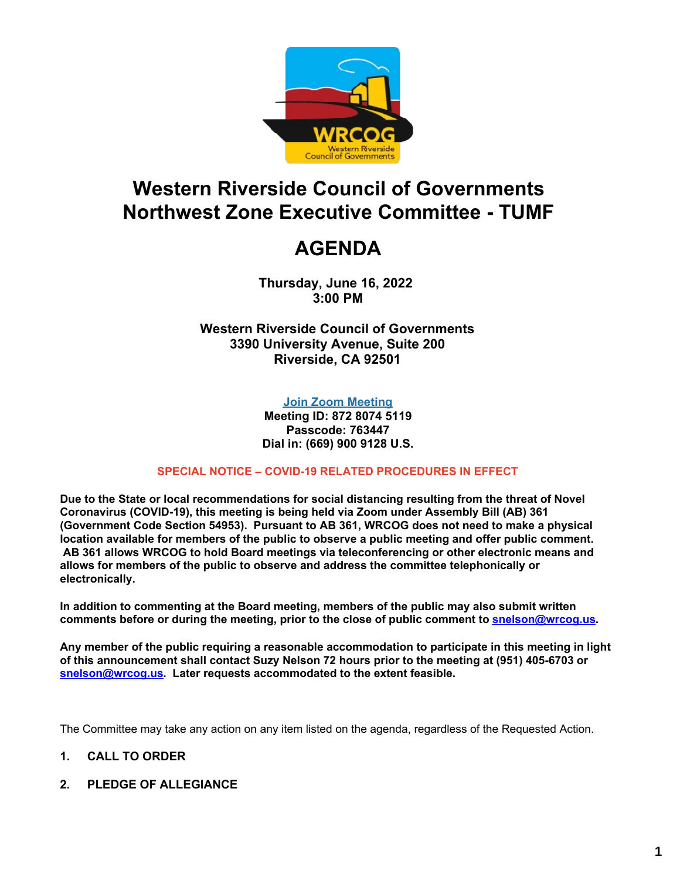

# **Western Riverside Council of Governments Northwest Zone Executive Committee - TUMF**

# **AGENDA**

**Thursday, June 16, 2022 3:00 PM**

**Western Riverside Council of Governments 3390 University Avenue, Suite 200 Riverside, CA 92501**

#### **Join Zoom [Meeting](https://us02web.zoom.us/j/87280745119?pwd=TGxMaEtWTzZqRFRhNmkvZ0lpYm5UUT09)**

**Meeting ID: 872 8074 5119 Passcode: 763447 Dial in: (669) 900 9128 U.S.**

#### **SPECIAL NOTICE – COVID-19 RELATED PROCEDURES IN EFFECT**

**Due to the State or local recommendations for social distancing resulting from the threat of Novel Coronavirus (COVID-19), this meeting is being held via Zoom under Assembly Bill (AB) 361 (Government Code Section 54953). Pursuant to AB 361, WRCOG does not need to make a physical location available for members of the public to observe a public meeting and offer public comment. AB 361 allows WRCOG to hold Board meetings via teleconferencing or other electronic means and allows for members of the public to observe and address the committee telephonically or electronically.**

**In addition to commenting at the Board meeting, members of the public may also submit written comments before or during the meeting, prior to the close of public comment to [snelson@wrcog.us](mailto:snelson@wrcog.us?subject=Public%20Comment).**

**Any member of the public requiring a reasonable accommodation to participate in this meeting in light of this announcement shall contact Suzy Nelson 72 hours prior to the meeting at (951) 405-6703 or [snelson@wrcog.us](mailto:snelson@wrcog.us?subject=Accommodation). Later requests accommodated to the extent feasible.**

The Committee may take any action on any item listed on the agenda, regardless of the Requested Action.

#### **1. CALL TO ORDER**

**2. PLEDGE OF ALLEGIANCE**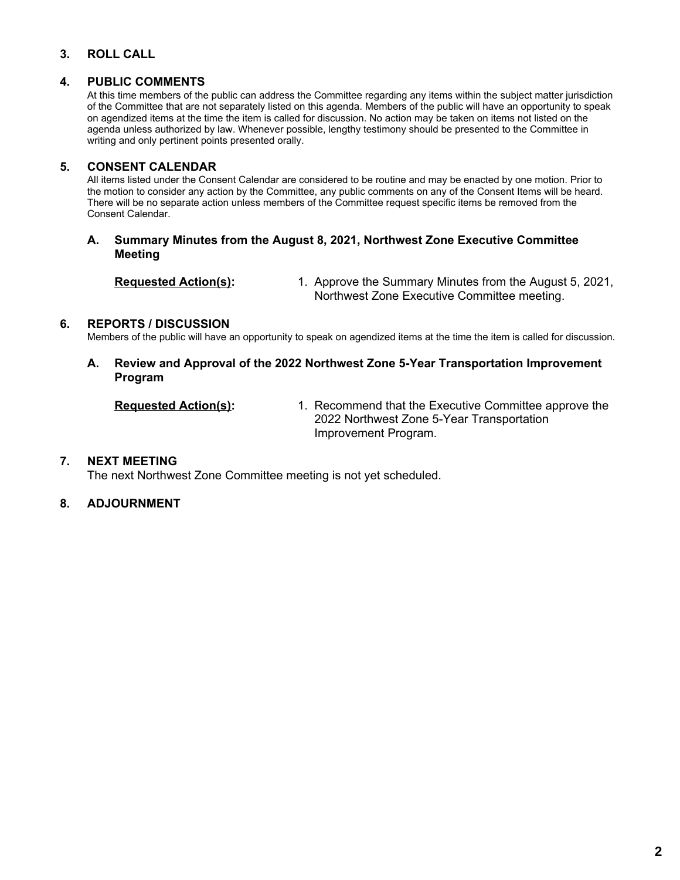#### **3. ROLL CALL**

#### **4. PUBLIC COMMENTS**

At this time members of the public can address the Committee regarding any items within the subject matter jurisdiction of the Committee that are not separately listed on this agenda. Members of the public will have an opportunity to speak on agendized items at the time the item is called for discussion. No action may be taken on items not listed on the agenda unless authorized by law. Whenever possible, lengthy testimony should be presented to the Committee in writing and only pertinent points presented orally.

#### **5. CONSENT CALENDAR**

All items listed under the Consent Calendar are considered to be routine and may be enacted by one motion. Prior to the motion to consider any action by the Committee, any public comments on any of the Consent Items will be heard. There will be no separate action unless members of the Committee request specific items be removed from the Consent Calendar.

#### **A. Summary Minutes from the August 8, 2021, Northwest Zone Executive Committee Meeting**

**Requested Action(s):** 1. Approve the Summary Minutes from the August 5, 2021, Northwest Zone Executive Committee meeting.

#### **6. REPORTS / DISCUSSION**

Members of the public will have an opportunity to speak on agendized items at the time the item is called for discussion.

**A. Review and Approval of the 2022 Northwest Zone 5-Year Transportation Improvement Program**

**Requested Action(s):** 1. Recommend that the Executive Committee approve the 2022 Northwest Zone 5-Year Transportation Improvement Program.

#### **7. NEXT MEETING**

The next Northwest Zone Committee meeting is not yet scheduled.

#### **8. ADJOURNMENT**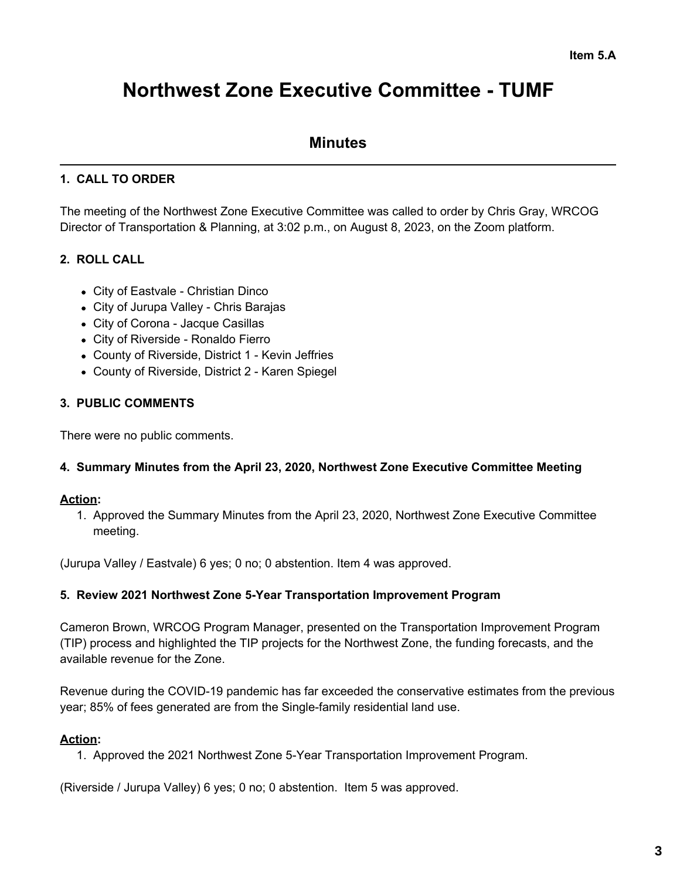# **Northwest Zone Executive Committee - TUMF**

## **Minutes**

### **1. CALL TO ORDER**

The meeting of the Northwest Zone Executive Committee was called to order by Chris Gray, WRCOG Director of Transportation & Planning, at 3:02 p.m., on August 8, 2023, on the Zoom platform.

## **2. ROLL CALL**

- City of Eastvale Christian Dinco
- City of Jurupa Valley Chris Barajas
- City of Corona Jacque Casillas
- City of Riverside Ronaldo Fierro
- County of Riverside, District 1 Kevin Jeffries
- County of Riverside, District 2 Karen Spiegel

#### **3. PUBLIC COMMENTS**

There were no public comments.

#### **4. Summary Minutes from the April 23, 2020, Northwest Zone Executive Committee Meeting**

#### **Action:**

1. Approved the Summary Minutes from the April 23, 2020, Northwest Zone Executive Committee meeting.

(Jurupa Valley / Eastvale) 6 yes; 0 no; 0 abstention. Item 4 was approved.

#### **5. Review 2021 Northwest Zone 5-Year Transportation Improvement Program**

Cameron Brown, WRCOG Program Manager, presented on the Transportation Improvement Program (TIP) process and highlighted the TIP projects for the Northwest Zone, the funding forecasts, and the available revenue for the Zone.

Revenue during the COVID-19 pandemic has far exceeded the conservative estimates from the previous year; 85% of fees generated are from the Single-family residential land use.

#### **Action:**

1. Approved the 2021 Northwest Zone 5-Year Transportation Improvement Program.

(Riverside / Jurupa Valley) 6 yes; 0 no; 0 abstention. Item 5 was approved.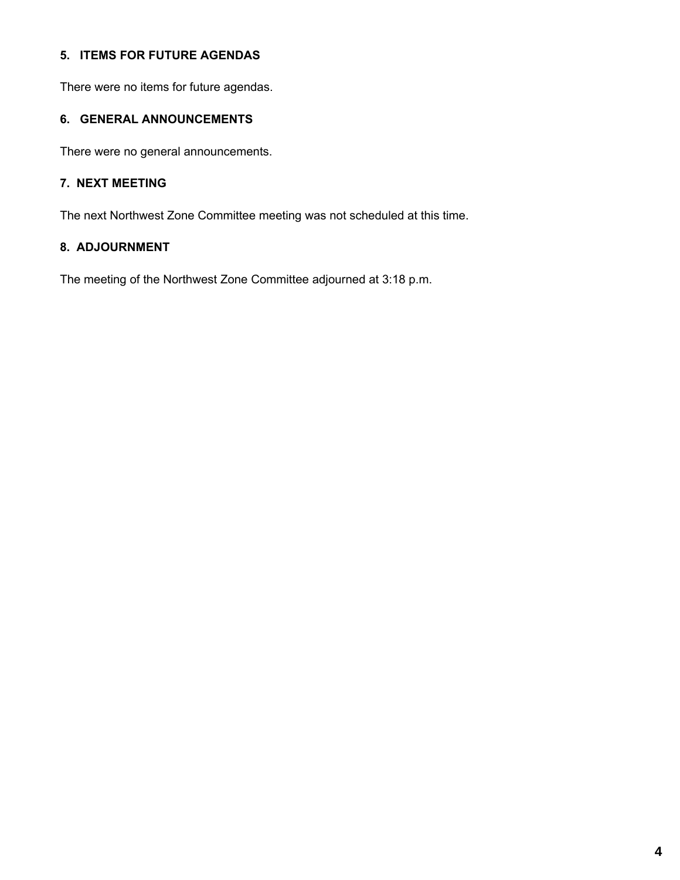#### **5. ITEMS FOR FUTURE AGENDAS**

There were no items for future agendas.

#### **6. GENERAL ANNOUNCEMENTS**

There were no general announcements.

#### **7. NEXT MEETING**

The next Northwest Zone Committee meeting was not scheduled at this time.

#### **8. ADJOURNMENT**

The meeting of the Northwest Zone Committee adjourned at 3:18 p.m.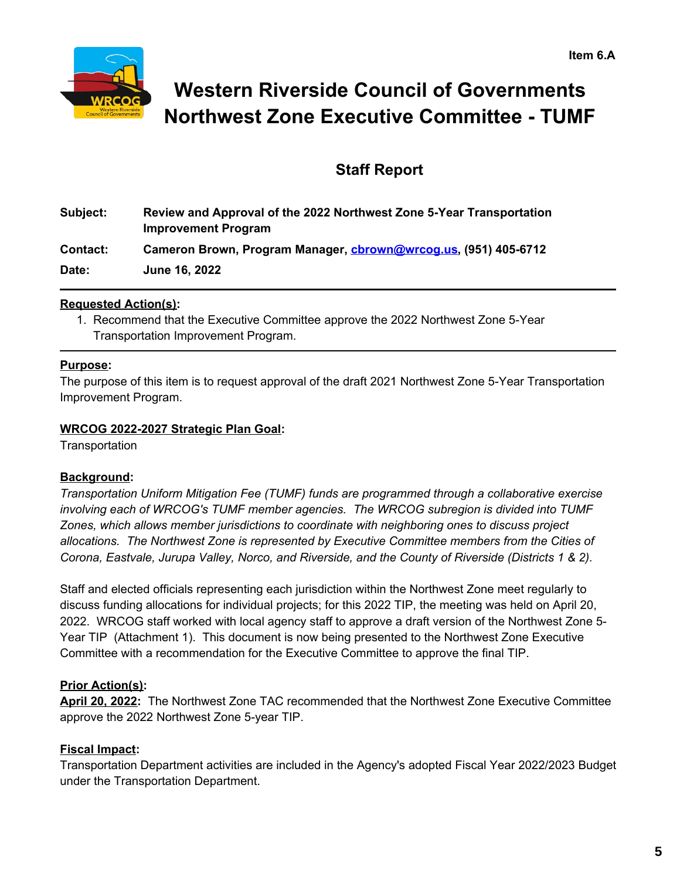

# **Western Riverside Council of Governments Northwest Zone Executive Committee - TUMF**

## **Staff Report**

| Subject: | Review and Approval of the 2022 Northwest Zone 5-Year Transportation<br><b>Improvement Program</b> |
|----------|----------------------------------------------------------------------------------------------------|
| Contact: | Cameron Brown, Program Manager, cbrown@wrcog.us, (951) 405-6712                                    |
| Date:    | June 16, 2022                                                                                      |

#### **Requested Action(s):**

1. Recommend that the Executive Committee approve the 2022 Northwest Zone 5-Year Transportation Improvement Program.

#### **Purpose:**

The purpose of this item is to request approval of the draft 2021 Northwest Zone 5-Year Transportation Improvement Program.

#### **WRCOG 2022-2027 Strategic Plan Goal:**

**Transportation** 

#### **Background:**

*Transportation Uniform Mitigation Fee (TUMF) funds are programmed through a collaborative exercise involving each of WRCOG's TUMF member agencies. The WRCOG subregion is divided into TUMF Zones, which allows member jurisdictions to coordinate with neighboring ones to discuss project allocations. The Northwest Zone is represented by Executive Committee members from the Cities of Corona, Eastvale, Jurupa Valley, Norco, and Riverside, and the County of Riverside (Districts 1 & 2).*

Staff and elected officials representing each jurisdiction within the Northwest Zone meet regularly to discuss funding allocations for individual projects; for this 2022 TIP, the meeting was held on April 20, 2022. WRCOG staff worked with local agency staff to approve a draft version of the Northwest Zone 5- Year TIP (Attachment 1). This document is now being presented to the Northwest Zone Executive Committee with a recommendation for the Executive Committee to approve the final TIP.

#### **Prior Action(s):**

**April 20, 2022:** The Northwest Zone TAC recommended that the Northwest Zone Executive Committee approve the 2022 Northwest Zone 5-year TIP.

#### **Fiscal Impact:**

Transportation Department activities are included in the Agency's adopted Fiscal Year 2022/2023 Budget under the Transportation Department.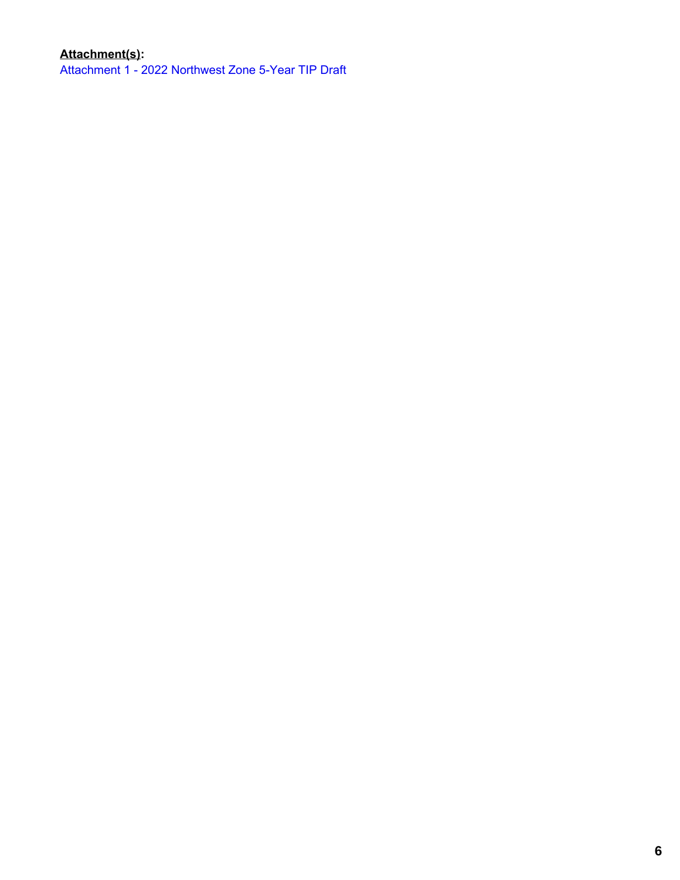## **Attachment(s):**

[Attachment](https://legistarweb-production.s3.amazonaws.com/uploads/attachment/pdf/1421195/2022_Northwest_Zone_5-Year_TIP_Draft-May2022.pdf) 1 - 2022 Northwest Zone 5-Year TIP Draft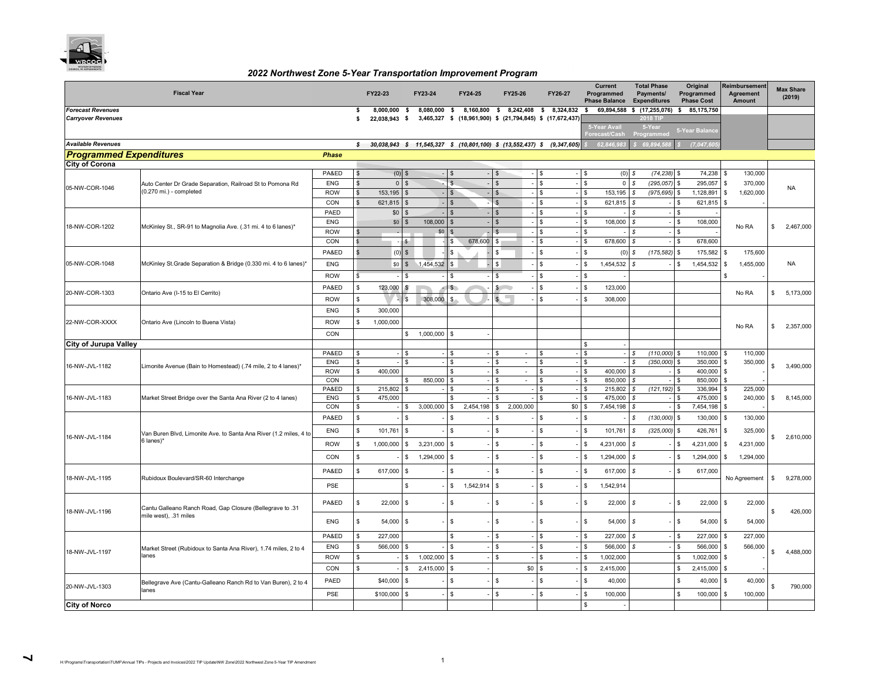

#### *2022 Northwest Zone 5-Year Transportation Improvement Program*

|                                | <b>Fiscal Year</b>                                                             |                   | FY22-23      |                     | FY23-24                      |                                                        | FY24-25        |                | FY25-26                  | FY26-27                                                                   |                          | Current<br>Programmed<br><b>Phase Balance</b> |                    | <b>Total Phase</b><br>Payments/<br><b>Expenditures</b> |     | Original<br>Programmed<br><b>Phase Cost</b> | Reimbursement<br>Agreement<br>Amount |     | <b>Max Share</b><br>(2019) |
|--------------------------------|--------------------------------------------------------------------------------|-------------------|--------------|---------------------|------------------------------|--------------------------------------------------------|----------------|----------------|--------------------------|---------------------------------------------------------------------------|--------------------------|-----------------------------------------------|--------------------|--------------------------------------------------------|-----|---------------------------------------------|--------------------------------------|-----|----------------------------|
| <b>Forecast Revenues</b>       |                                                                                |                   | s            | 8.000.000           | 8,080,000 \$<br>$\mathbf{s}$ |                                                        |                |                |                          | 8,160,800 \$ 8,242,408 \$ 8,324,832                                       | s.                       | 69,894,588                                    |                    | \$(17, 255, 076)                                       | S.  | 85,175,750                                  |                                      |     |                            |
| <b>Carryover Revenues</b>      |                                                                                |                   | \$           | 22,038,943 \$       |                              |                                                        |                |                |                          | 3,465,327 \$ (18,961,900) \$ (21,794,845) \$ (17,672,437)                 |                          | 5-Year Avail                                  |                    | 2018 TI<br>5-Year                                      |     |                                             |                                      |     |                            |
|                                |                                                                                |                   |              |                     |                              |                                                        |                |                |                          |                                                                           |                          | Forecast/Cash                                 |                    | Programmed                                             |     | 5-Year Balance                              |                                      |     |                            |
| <b>Available Revenues</b>      |                                                                                |                   | $\mathsf{s}$ |                     |                              |                                                        |                |                |                          | $30,038,943$ \$ 11,545,327 \$ (10,801,100) \$ (13,552,437) \$ (9,347,605) |                          | 62,846,98                                     |                    | 69,894,58                                              |     | (7,047,60)                                  |                                      |     |                            |
| <b>Programmed Expenditures</b> |                                                                                | <b>Phase</b>      |              |                     |                              |                                                        |                |                |                          |                                                                           |                          |                                               |                    |                                                        |     |                                             |                                      |     |                            |
| <b>City of Corona</b>          |                                                                                | PA&ED             | \$           | (0)<br>$\mathbf{s}$ |                              | $\mathfrak{L}$                                         |                | S.             |                          | \$                                                                        | - I S                    | (0)                                           | s.                 | (74, 238)                                              |     | 74,238                                      | 130,000                              |     |                            |
|                                | Auto Center Dr Grade Separation, Railroad St to Pomona Rd                      | <b>ENG</b>        | \$           | $\circ$             | $\mathbf{s}$                 | $\mathfrak{s}$                                         |                | $\mathfrak{s}$ |                          | \$                                                                        | - S                      | $\mathsf 0$                                   | $\mathbb S$        | (295, 057)                                             | S   | 295,057                                     | 370,000<br><b>S</b>                  |     |                            |
| 05-NW-COR-1046                 | (0.270 mi.) - completed                                                        | <b>ROW</b>        | \$           | 153,195             |                              |                                                        |                | $\mathcal{S}$  |                          | \$                                                                        |                          | 153,195                                       | s                  | (975, 695)                                             | S   | 1,128,891                                   | 1,620,000<br>\$                      |     | <b>NA</b>                  |
|                                |                                                                                | CON               | \$           | 621,815             |                              | $\mathbf{\hat{E}}$                                     |                | $\mathbf{s}$   |                          | ዴ                                                                         | $\overline{\phantom{a}}$ | 621,815                                       | s                  |                                                        | \$. | 621,815                                     | £.                                   |     |                            |
|                                |                                                                                | PAED              |              | \$0                 |                              |                                                        |                | $\mathfrak{L}$ |                          | \$                                                                        |                          |                                               | s                  |                                                        | \$  |                                             |                                      |     |                            |
|                                |                                                                                | <b>ENG</b>        |              | \$0                 | 108,000<br>$\mathcal{F}$     |                                                        |                |                |                          | \$                                                                        | -S                       | 108,000                                       | $\mathbb S$        |                                                        | \$  | 108,000                                     |                                      |     |                            |
| 18-NW-COR-1202                 | McKinley St., SR-91 to Magnolia Ave. (.31 mi. 4 to 6 lanes)*                   | <b>ROW</b>        |              |                     | \$0                          |                                                        |                | ፍ              |                          | \$                                                                        | \$                       |                                               | \$                 |                                                        | \$  |                                             | No RA                                | \$. | 2,467,000                  |
|                                |                                                                                | CON               |              | -S                  |                              | \$                                                     | 678,600        | \$.            |                          | ዴ                                                                         | $\mathbf{R}$             | 678,600                                       | $\mathbf{\hat{x}}$ |                                                        | \$. | 678,600                                     |                                      |     |                            |
|                                |                                                                                | PA&ED             |              | (0)                 | $\mathbb{S}$                 | <b>R</b>                                               |                | ፍ              |                          | \$                                                                        | $\mathcal{L}$            | (0)                                           | \$                 | (175, 582)                                             | \$  | 175,582                                     | 175,600                              |     |                            |
| 05-NW-COR-1048                 | McKinley St.Grade Separation & Bridge (0.330 mi. 4 to 6 lanes)*                | <b>ENG</b>        |              | \$0                 | $\mathbb{S}$<br>1,454,532    | s.                                                     |                | \$             |                          | \$                                                                        | £.                       | 1,454,532                                     | $\mathcal{S}$      |                                                        | \$. | 1,454,532                                   | 1,455,000<br>\$                      |     | NA                         |
|                                |                                                                                | <b>ROW</b>        | \$           |                     |                              | \$.                                                    |                | \$.            |                          | \$                                                                        | \$                       |                                               |                    |                                                        |     |                                             | \$                                   |     |                            |
|                                |                                                                                | PA&ED             | \$           | 123,000             |                              | $\mathsf{\$}$                                          |                | $\mathbb{S}$   |                          | \$                                                                        | - \$                     | 123,000                                       |                    |                                                        |     |                                             |                                      |     |                            |
| 20-NW-COR-1303                 | Ontario Ave (I-15 to El Cerrito)                                               |                   |              |                     |                              |                                                        |                | $\mathbf{S}$   |                          | \$                                                                        |                          |                                               |                    |                                                        |     |                                             | No RA                                | \$  | 5,173,000                  |
|                                |                                                                                | <b>ROW</b>        | \$.          |                     | 308,000<br>\$.               |                                                        |                |                |                          |                                                                           |                          | 308,000                                       |                    |                                                        |     |                                             |                                      |     |                            |
|                                |                                                                                | <b>ENG</b>        | \$           | 300,000             |                              |                                                        |                |                |                          |                                                                           |                          |                                               |                    |                                                        |     |                                             |                                      |     |                            |
| 22-NW-COR-XXXX                 | Ontario Ave (Lincoln to Buena Vista)                                           | <b>ROW</b>        | \$           | 1,000,000           |                              |                                                        |                |                |                          |                                                                           |                          |                                               |                    |                                                        |     |                                             | No RA                                | \$. | 2,357,000                  |
|                                |                                                                                | CON               |              |                     | 1,000,000<br>\$.             | £.                                                     |                |                |                          |                                                                           |                          |                                               |                    |                                                        |     |                                             |                                      |     |                            |
| <b>City of Jurupa Valley</b>   |                                                                                |                   |              |                     |                              |                                                        |                |                |                          |                                                                           | $\mathbf{R}$             |                                               |                    |                                                        |     |                                             |                                      |     |                            |
|                                |                                                                                | PA&ED             |              |                     | \$.                          | \$.                                                    |                | \$             | $\overline{\phantom{a}}$ | \$                                                                        | £.                       |                                               | s                  | (110,000)                                              |     | 110,000                                     | 110,000<br>\$                        |     |                            |
| 16-NW-JVL-1182                 | Limonite Avenue (Bain to Homestead) (.74 mile, 2 to 4 lanes)*                  | ENG               | \$           |                     | $\mathcal{L}$                | ፍ                                                      |                | \$.            |                          | \$                                                                        |                          |                                               | $\mathbf{\hat{s}}$ | (350,000)                                              |     | 350,000                                     | 350,000<br>-S                        |     | 3,490,000                  |
|                                |                                                                                | <b>ROW</b><br>CON | \$           | 400,000             |                              |                                                        |                | \$.<br>\$.     | $\sim$<br>$\sim$         | \$                                                                        |                          | 400,000<br>850,000                            | s<br>s             |                                                        | £.  | 400,000<br>850,000                          | - \$                                 |     |                            |
|                                |                                                                                | PA&ED             | \$           | 215,802             | 850,000                      | \$.                                                    |                | \$             |                          | \$                                                                        |                          | 215,802                                       | $\mathbb S$        | (121, 192)                                             | S   | 336,994                                     | 225,000<br>S                         |     |                            |
| 16-NW-JVL-1183                 | Market Street Bridge over the Santa Ana River (2 to 4 lanes)                   | <b>ENG</b>        | \$           | 475,000             |                              |                                                        |                |                |                          |                                                                           |                          | 475,000                                       | .S                 |                                                        |     | 475,000                                     | 240,000<br>-S                        | S.  | 8,145,000                  |
|                                |                                                                                | CON               | \$           |                     | 3,000,000<br>\$              |                                                        | 2,454,198      | \$             | 2,000,000                | \$0                                                                       |                          | 7,454,198                                     | s                  |                                                        | \$  | 7,454,198                                   |                                      |     |                            |
|                                |                                                                                | PA&ED             | $\mathbb{S}$ |                     | \$.                          | \$                                                     |                | \$.            |                          | \$                                                                        | -S                       |                                               | \$                 | (130,000)                                              | \$. | 130,000                                     | <b>S</b><br>130,000                  |     |                            |
|                                |                                                                                | <b>ENG</b>        | \$           | 101,761             | \$                           | $\mathbb{S}$                                           |                | \$             |                          | \$                                                                        | \$.                      | 101,761                                       | $\mathbb S$        | (325,000)                                              | \$  | 426,761                                     | 325,000                              |     |                            |
| 16-NW-JVL-1184                 | Van Buren Blvd, Limonite Ave. to Santa Ana River (1.2 miles, 4 to<br>6 lanes)* | <b>ROW</b>        | \$           | 1,000,000           | 3,231,000<br>\$              | \$                                                     |                | \$             |                          | \$                                                                        |                          | 4,231,000                                     | s                  |                                                        | \$  | 4,231,000                                   | 4,231,000<br><b>S</b>                |     | 2,610,000                  |
|                                |                                                                                |                   |              |                     |                              |                                                        |                |                |                          | \$                                                                        |                          |                                               |                    |                                                        |     |                                             |                                      |     |                            |
|                                |                                                                                | CON               | \$           |                     | \$<br>1,294,000              | \$                                                     |                | \$             |                          |                                                                           | \$.                      | 1,294,000                                     | s                  |                                                        | \$  | 1,294,000                                   | \$<br>1,294,000                      |     |                            |
|                                |                                                                                | PA&ED             | $\mathbb{S}$ | 617,000             | \$                           | \$<br>\$<br>\$<br>\$<br>617,000<br>s<br>617,000<br>\$. |                |                |                          |                                                                           |                          |                                               |                    |                                                        |     |                                             |                                      |     |                            |
| 18-NW-JVL-1195                 | Rubidoux Boulevard/SR-60 Interchange                                           | PSE               |              |                     | \$.                          | \$                                                     | $1,542,914$ \$ |                |                          | $\mathbf{s}$                                                              | \$                       | 1,542,914                                     |                    |                                                        |     |                                             | No Agreement                         | \$. | 9,278,000                  |
|                                |                                                                                |                   |              |                     |                              |                                                        |                |                |                          |                                                                           |                          |                                               |                    |                                                        |     |                                             |                                      |     |                            |
|                                | 31. Cantu Galleano Ranch Road, Gap Closure (Bellegrave to                      | PA&ED             | \$           | 22,000              | S.                           | \$                                                     |                | \$             |                          | \$                                                                        | - \$                     | 22,000                                        | s                  |                                                        | \$  | 22,000                                      | 22,000<br>-S                         |     |                            |
| 18-NW-JVL-1196                 | mile west), .31 miles                                                          |                   |              |                     |                              |                                                        |                |                |                          |                                                                           |                          |                                               |                    |                                                        |     |                                             |                                      |     | 426,000                    |
|                                |                                                                                | <b>ENG</b>        | $\mathbb S$  | 54,000              | \$                           | $\mathbb{S}$                                           |                | \$             |                          | $\mathbb{S}$                                                              | $\mathbf{\hat{x}}$       | 54,000                                        | $\mathbb S$        |                                                        | \$  | 54,000                                      | $\mathbf{s}$<br>54,000               |     |                            |
|                                |                                                                                | PA&ED             | S            | 227,000             |                              | \$                                                     |                | $\mathbf{s}$   |                          | \$                                                                        |                          | 227,000                                       | $\mathcal{S}$      |                                                        | \$  | 227,000                                     | 227,000<br>S                         |     |                            |
|                                |                                                                                | <b>ENG</b>        | S            | 566,000             | \$.                          | $\mathbf{s}$                                           |                | \$             |                          | \$                                                                        |                          | 566,000                                       | s                  |                                                        | \$  | 566,000                                     | 566,000                              |     |                            |
| 18-NW-JVL-1197                 | Market Street (Rubidoux to Santa Ana River), 1.74 miles, 2 to 4<br>lanes       | <b>ROW</b>        |              |                     | \$<br>1,002,000              | \$.                                                    |                | s              |                          | \$                                                                        |                          | 1,002,000                                     |                    |                                                        | \$  | 1,002,000                                   |                                      |     | 4,488,000                  |
|                                |                                                                                | CON               | \$           |                     | 2,415,000<br>S               |                                                        |                |                | \$0                      | \$                                                                        |                          | 2,415,000                                     |                    |                                                        |     | 2,415,000                                   |                                      |     |                            |
|                                |                                                                                |                   |              |                     |                              |                                                        |                |                |                          |                                                                           |                          |                                               |                    |                                                        |     |                                             |                                      |     |                            |
| 20-NW-JVL-1303                 | Bellegrave Ave (Cantu-Galleano Ranch Rd to Van Buren), 2 to 4<br>lanes         | PAED              |              | \$40,000            | S                            | \$                                                     |                | \$             |                          | \$                                                                        | $\mathbf{R}$             | 40,000                                        |                    |                                                        | \$. | 40,000                                      | 40,000                               |     | 790,000                    |
|                                |                                                                                | <b>PSE</b>        |              | \$100,000           | £.                           | $\mathbb{S}$                                           |                | \$             |                          | \$                                                                        | -8                       | 100,000                                       |                    |                                                        | S.  | 100,000                                     | 100,000                              |     |                            |
| <b>City of Norco</b>           |                                                                                |                   |              |                     |                              |                                                        |                |                |                          |                                                                           | \$                       |                                               |                    |                                                        |     |                                             |                                      |     |                            |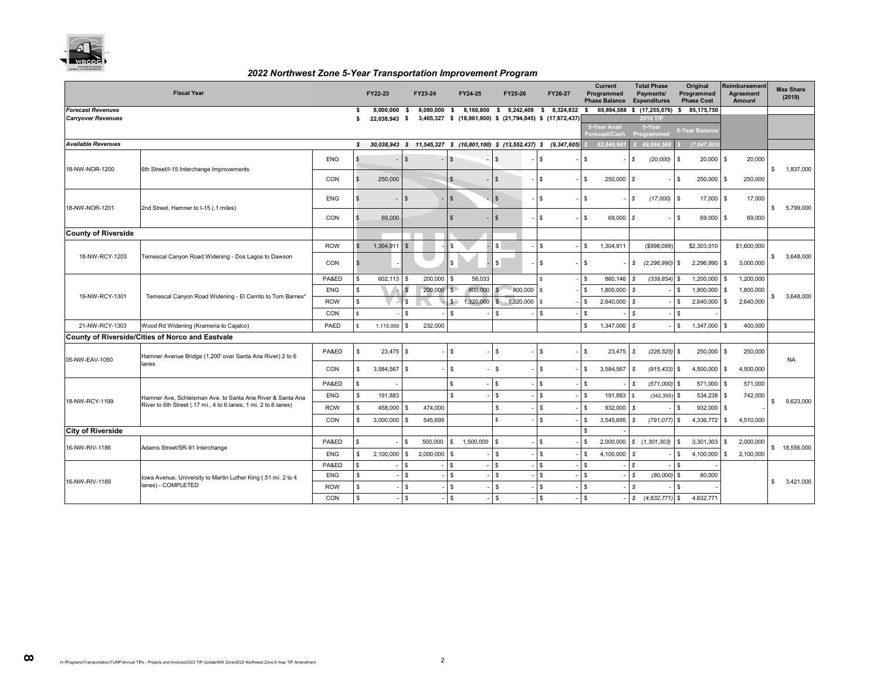

#### *2022 Northwest Zone 5-Year Transportation Improvement Program*

|                            | <b>Fiscal Year</b>                                              |            |              | FY22-23       |              | FY23-24   |                    | FY24-25                                                                 |                    | FY25-26   |                           | FY26-27 |                                          | Current<br>Programmed<br><b>Phase Balance</b> |               | <b>Total Phase</b><br>Payments/<br><b>Expenditures</b> |                    | Original<br>Programmed<br><b>Phase Cost</b> |     | <b>Reimbursement</b><br><b>Agreement</b><br><b>Amount</b> | <b>Max Share</b><br>(2019) |
|----------------------------|-----------------------------------------------------------------|------------|--------------|---------------|--------------|-----------|--------------------|-------------------------------------------------------------------------|--------------------|-----------|---------------------------|---------|------------------------------------------|-----------------------------------------------|---------------|--------------------------------------------------------|--------------------|---------------------------------------------|-----|-----------------------------------------------------------|----------------------------|
| <b>Forecast Revenues</b>   |                                                                 | \$         | 8,000,000    | -S            | 8,080,000    | -S        | 8,160,800          |                                                                         |                    |           | \$ 8,242,408 \$ 8,324,832 | \$      | 69,894,588 \$ (17,255,076) \$ 85,175,750 |                                               |               |                                                        |                    |                                             |     |                                                           |                            |
| <b>Carryover Revenues</b>  |                                                                 |            | \$           | 22,038,943 \$ |              |           |                    | 3,465,327 \$ (18,961,900) \$ (21,794,845) \$ (17,672,437)               |                    |           |                           |         |                                          | <b>5-Year Avail</b><br>Forecast/Cash          |               | <b>2018 TIF</b><br>5-Year<br>Programmed                |                    | 5-Year Balance                              |     |                                                           |                            |
| <b>Available Revenues</b>  |                                                                 |            | s            |               |              |           |                    | 30,038,943 \$ 11,545,327 \$ (10,801,100) \$ (13,552,437) \$ (9,347,605) |                    |           |                           |         |                                          | 62.846.983                                    |               | 69.894.58                                              |                    | (7,047,60)                                  |     |                                                           |                            |
| 18-NW-NOR-1200             | 6th Street/I-15 Interchange Improvements                        | <b>ENG</b> | $\mathbf{F}$ |               | $\mathbb{S}$ |           | $\sqrt{3}$         |                                                                         | $\mathbf{s}$       |           | \$                        |         | $\sqrt{3}$                               |                                               | $\mathcal{S}$ | (20,000)                                               | l \$               | $20,000$ \$                                 |     | 20,000                                                    | \$<br>1,837,000            |
|                            |                                                                 | CON        | \$           | 250,000       |              |           | $\mathfrak{s}$     |                                                                         | $\mathfrak{L}$     |           | \$                        |         | $\mathbb{S}$                             | 250,000 \$                                    |               |                                                        | <b>S</b>           | 250,000                                     | -S  | 250,000                                                   |                            |
| 18-NW-NOR-1201             | 2nd Street, Hamner to I-15 (.1 miles)                           | <b>ENG</b> |              |               | $\mathbb{S}$ |           | $\mathbf{s}$       |                                                                         | $\mathbf{s}$       |           | \$                        |         | $\mathfrak{S}$                           |                                               | $\mathcal{S}$ | $(17,000)$ \$                                          |                    | 17,000 \$                                   |     | 17,000                                                    | \$<br>5,799,000            |
|                            |                                                                 | CON        |              | 69,000        |              |           | $\mathbf{s}$       |                                                                         | $\mathfrak{L}$     |           | \$                        |         | \$                                       | 69,000 \$                                     |               |                                                        | \$                 | 69,000 \$                                   |     | 69,000                                                    |                            |
| <b>County of Riverside</b> |                                                                 |            |              |               |              |           |                    |                                                                         |                    |           |                           |         |                                          |                                               |               |                                                        |                    |                                             |     |                                                           |                            |
|                            |                                                                 | <b>ROW</b> |              | 1,304,911     | $\mathbf{s}$ |           | $\mathbf{R}$       |                                                                         | \$                 |           | $\mathbf{s}$              |         | $\sqrt{3}$                               | 1,304,911                                     |               | (\$998,099)                                            |                    | \$2,303,010                                 |     | \$1,600,000                                               |                            |
| 18-NW-RCY-1203             | Temescal Canyon Road Widening - Dos Lagos to Dawson             | CON        | $\mathbf{s}$ |               |              |           | \$.                |                                                                         |                    |           | $\mathbb{S}$              |         | $\sqrt{3}$                               |                                               | $\mathcal{S}$ | $(2, 296, 990)$ \$                                     |                    | 2,296,990                                   | S.  | 3,000,000                                                 | \$<br>3,648,000            |
|                            |                                                                 | PA&ED      | $\mathbb{S}$ | 602,113       | $\mathbf{s}$ | 200,000   | £.                 | 58.033                                                                  |                    |           | $\mathbb{S}$              |         | <b>S</b>                                 | 860,146 \$                                    |               | $(339.854)$ \$                                         |                    | 1,200,000                                   | -S  | 1,200,000                                                 |                            |
| 19-NW-RCY-1301             | Temescal Canyon Road Widening - El Cerrito to Tom Barnes*       | <b>ENG</b> | -S           |               | $\mathbf{s}$ | 200,000   | $\mathbb{S}$       | 800,000                                                                 |                    | 800,000   | \$                        |         | l \$                                     | 1,800,000                                     | s             |                                                        | \$                 | 1,800,000                                   | \$. | 1,800,000                                                 | \$<br>3,648,000            |
|                            |                                                                 | <b>ROW</b> | -S           |               | 's           |           | s                  | 1,320,000                                                               | $\mathfrak{L}$     | 1,320,000 | \$                        |         | \$                                       | 2.640.000                                     | s             |                                                        | \$                 | 2.640.000                                   | \$  | 2,640,000                                                 |                            |
|                            |                                                                 | CON        | $\mathbf{s}$ |               | S.           |           | $\mathbf{\hat{s}}$ |                                                                         | $\mathbf{s}$       |           | \$.                       |         | \$                                       |                                               | - \$          |                                                        | l \$               |                                             |     |                                                           |                            |
| 21-NW-RCY-1303             | Wood Rd Widening (Krameria to Cajalco)                          | PAED       | s            | 1,115,000     | \$.          | 232,000   |                    |                                                                         |                    |           |                           |         | \$                                       | $1,347,000$ \$                                |               |                                                        | <b>S</b>           | 1,347,000 \$                                |     | 400.000                                                   |                            |
|                            | County of Riverside/Cities of Norco and Eastvale                |            |              |               |              |           |                    |                                                                         |                    |           |                           |         |                                          |                                               |               |                                                        |                    |                                             |     |                                                           |                            |
| 05-NW-EAV-1050             | Hamner Avenue Bridge (1,200' over Santa Ana River) 2 to 6       | PA&ED      | S.           | 23,475        | $\mathbf{s}$ |           | $\sqrt{3}$         |                                                                         | \$                 |           | \$                        |         | $\mathbf{s}$                             | 23.475                                        | $\mathcal{S}$ | $(226, 525)$ \$                                        |                    | 250,000                                     | -S  | 250,000                                                   | <b>NA</b>                  |
|                            | lanes                                                           | CON        | $\mathbf{s}$ | 3,584,567     | <b>S</b>     |           | \$                 |                                                                         | $-$ \$             |           | $\mathbb{S}$              |         | $\mathfrak{s}$                           | 3,584,567                                     | $\mathsf{s}$  | $(915, 433)$ \$                                        |                    | 4,500,000                                   | S.  | 4,500,000                                                 |                            |
|                            |                                                                 | PA&ED      | $\mathbf{s}$ |               |              |           | Ś.                 |                                                                         | \$.                |           | \$.                       |         | \$                                       |                                               | $\mathcal{S}$ | $(571,000)$ \$                                         |                    | 571,000                                     |     | 571,000                                                   |                            |
|                            | Hamner Ave, Schleisman Ave. to Santa Ana River & Santa Ana      | <b>ENG</b> | $\mathbb{S}$ | 191,883       |              |           | ፍ                  |                                                                         | \$                 |           | $\mathbb{S}$              |         | \$.                                      | 191,883                                       | $\mathbf{s}$  | (342, 355)                                             | l \$               | 534,238                                     |     | 742,000                                                   |                            |
| 18-NW-RCY-1199             | River to 6th Street (.17 mi., 4 to 6 lanes, 1 mi. 2 to 6 lanes) | <b>ROW</b> | s.           | 458,000       | -S           | 474,000   |                    |                                                                         | $\mathbf{s}$       |           | $\mathbb{S}$              |         | \$                                       | 932,000                                       | - \$          |                                                        | -S                 | 932.000                                     |     |                                                           | \$<br>9,623,000            |
|                            |                                                                 | CON        | $\mathbf{s}$ | 3,000,000     | <b>S</b>     | 545.695   |                    |                                                                         |                    |           | $\mathbf{s}$              |         | \$                                       | 3,545,695                                     | - \$          | (791.077)                                              | $\sqrt{3}$         | 4,336,772                                   | \$. | 4,510,000                                                 |                            |
| <b>City of Riverside</b>   |                                                                 |            |              |               |              |           |                    |                                                                         |                    |           |                           |         | \$                                       |                                               |               |                                                        |                    |                                             |     |                                                           |                            |
| 16-NW-RIV-1186             | Adams Street/SR-91 Interchange                                  | PA&ED      | <b>S</b>     |               | \$           | 500,000   | \$                 | 1,500,000                                                               | \$.                |           | \$.                       |         | \$.                                      | 2,000,000                                     |               | \$(1,301,303)                                          | l \$               | 3,301,303                                   |     | 2,000,000                                                 | \$ 18,556,000              |
|                            |                                                                 | <b>ENG</b> | S.           | 2,100,000     | \$           | 2,000,000 | \$                 |                                                                         | \$                 |           | $\mathbb{S}$              |         | \$                                       | 4,100,000                                     | $\mathsf{s}$  |                                                        | \$                 | 4,100,000                                   | \$  | 2,100,000                                                 |                            |
|                            |                                                                 | PA&ED      | $\mathbf{s}$ |               | \$           |           | \$                 |                                                                         | \$.                |           | \$.                       |         | \$                                       |                                               | $\mathcal{S}$ |                                                        | $\mathbf{s}$       |                                             |     |                                                           |                            |
| 16-NW-RIV-1189             | Iowa Avenue, University to Martin Luther King (.51 mi. 2 to 4   | <b>ENG</b> | s            |               | \$.          |           | \$                 |                                                                         | $\mathbf{s}$       |           | $\mathbf{s}$              |         | $\mathbb{S}$                             |                                               | - \$          | (80,000)                                               | l \$               | 80,000                                      |     |                                                           | \$<br>3,421,000            |
|                            | lanes) - COMPLETED                                              | <b>ROW</b> | s            |               | \$           |           | \$                 |                                                                         | S.                 |           | $\mathbb{S}$              |         | \$                                       |                                               | s             |                                                        | $\mathbf{\hat{S}}$ |                                             |     |                                                           |                            |
|                            |                                                                 | CON        | $\mathbb{S}$ |               | $\mathbf{s}$ |           | $\mathbb{S}$       |                                                                         | $\mathbf{\hat{S}}$ |           | $\mathbb{S}$              |         | $\mathbf{s}$                             |                                               | s             | $(4,632,771)$ \$                                       |                    | 4,632,771                                   |     |                                                           |                            |